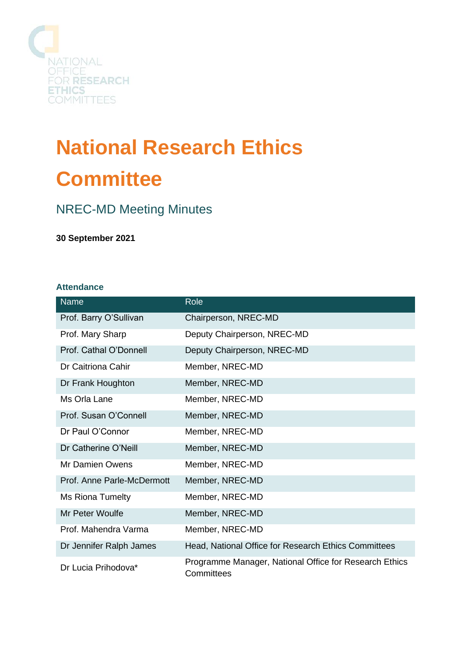

# **National Research Ethics Committee**

## NREC-MD Meeting Minutes

**30 September 2021**

#### **Attendance**

| Name                       | Role                                                                 |
|----------------------------|----------------------------------------------------------------------|
| Prof. Barry O'Sullivan     | Chairperson, NREC-MD                                                 |
| Prof. Mary Sharp           | Deputy Chairperson, NREC-MD                                          |
| Prof. Cathal O'Donnell     | Deputy Chairperson, NREC-MD                                          |
| Dr Caitriona Cahir         | Member, NREC-MD                                                      |
| Dr Frank Houghton          | Member, NREC-MD                                                      |
| Ms Orla Lane               | Member, NREC-MD                                                      |
| Prof. Susan O'Connell      | Member, NREC-MD                                                      |
| Dr Paul O'Connor           | Member, NREC-MD                                                      |
| Dr Catherine O'Neill       | Member, NREC-MD                                                      |
| Mr Damien Owens            | Member, NREC-MD                                                      |
| Prof. Anne Parle-McDermott | Member, NREC-MD                                                      |
| <b>Ms Riona Tumelty</b>    | Member, NREC-MD                                                      |
| Mr Peter Woulfe            | Member, NREC-MD                                                      |
| Prof. Mahendra Varma       | Member, NREC-MD                                                      |
| Dr Jennifer Ralph James    | Head, National Office for Research Ethics Committees                 |
| Dr Lucia Prihodova*        | Programme Manager, National Office for Research Ethics<br>Committees |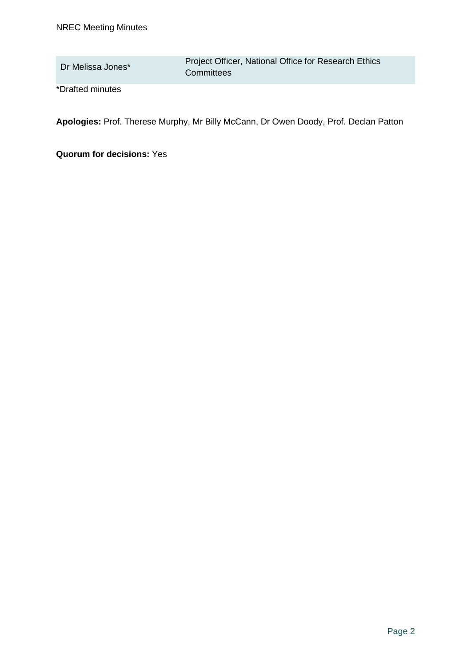Dr Melissa Jones\* Project Officer, National Office for Research Ethics **Committees** 

\*Drafted minutes

**Apologies:** Prof. Therese Murphy, Mr Billy McCann, Dr Owen Doody, Prof. Declan Patton

**Quorum for decisions:** Yes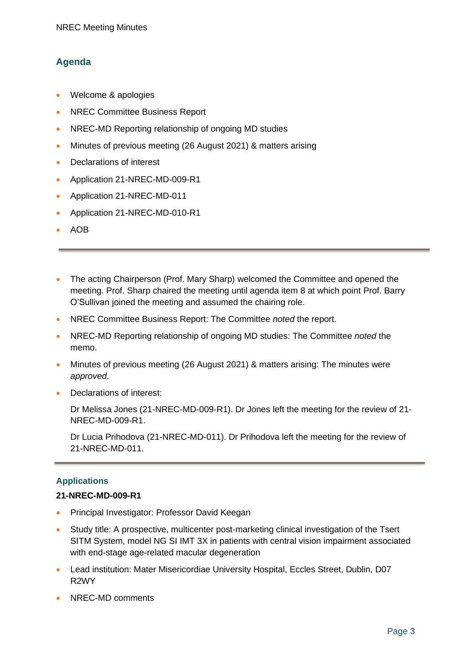### **Agenda**

- Welcome & apologies
- NREC Committee Business Report
- NREC-MD Reporting relationship of ongoing MD studies
- Minutes of previous meeting (26 August 2021) & matters arising
- Declarations of interest
- Application 21-NREC-MD-009-R1
- Application 21-NREC-MD-011
- Application 21-NREC-MD-010-R1
- AOB
- The acting Chairperson (Prof. Mary Sharp) welcomed the Committee and opened the meeting. Prof. Sharp chaired the meeting until agenda item 8 at which point Prof. Barry O'Sullivan joined the meeting and assumed the chairing role.
- NREC Committee Business Report: The Committee *noted* the report.
- NREC-MD Reporting relationship of ongoing MD studies: The Committee *noted* the memo.
- Minutes of previous meeting (26 August 2021) & matters arising: The minutes were *approved*.
- Declarations of interest:

Dr Melissa Jones (21-NREC-MD-009-R1). Dr Jones left the meeting for the review of 21- NREC-MD-009-R1.

Dr Lucia Prihodova (21-NREC-MD-011). Dr Prihodova left the meeting for the review of 21-NREC-MD-011.

#### **Applications**

#### **21-NREC-MD-009-R1**

- Principal Investigator: Professor David Keegan
- Study title: A prospective, multicenter post-marketing clinical investigation of the Tsert SITM System, model NG SI IMT 3X in patients with central vision impairment associated with end-stage age-related macular degeneration
- Lead institution: Mater Misericordiae University Hospital, Eccles Street, Dublin, D07 R2WY
- NREC-MD comments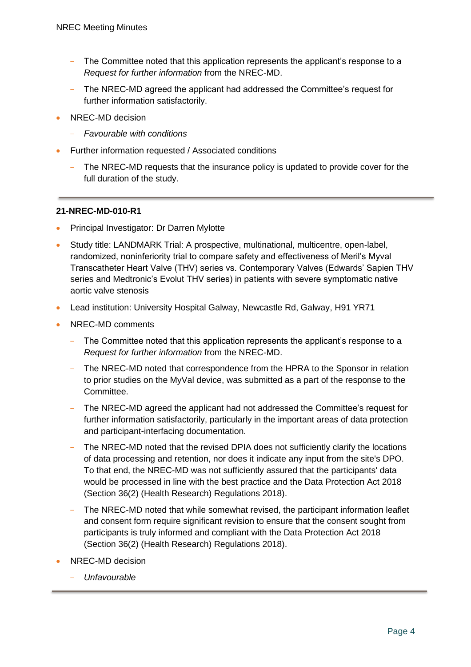- The Committee noted that this application represents the applicant's response to a *Request for further information* from the NREC-MD.
- The NREC-MD agreed the applicant had addressed the Committee's request for further information satisfactorily.
- NREC-MD decision
	- *Favourable with conditions*
- Further information requested / Associated conditions
	- The NREC-MD requests that the insurance policy is updated to provide cover for the full duration of the study.

#### **21-NREC-MD-010-R1**

- Principal Investigator: Dr Darren Mylotte
- Study title: LANDMARK Trial: A prospective, multinational, multicentre, open-label, randomized, noninferiority trial to compare safety and effectiveness of Meril's Myval Transcatheter Heart Valve (THV) series vs. Contemporary Valves (Edwards' Sapien THV series and Medtronic's Evolut THV series) in patients with severe symptomatic native aortic valve stenosis
- Lead institution: University Hospital Galway, Newcastle Rd, Galway, H91 YR71
- NREC-MD comments
	- The Committee noted that this application represents the applicant's response to a *Request for further information* from the NREC-MD.
	- The NREC-MD noted that correspondence from the HPRA to the Sponsor in relation to prior studies on the MyVal device, was submitted as a part of the response to the Committee.
	- The NREC-MD agreed the applicant had not addressed the Committee's request for further information satisfactorily, particularly in the important areas of data protection and participant-interfacing documentation.
	- The NREC-MD noted that the revised DPIA does not sufficiently clarify the locations of data processing and retention, nor does it indicate any input from the site's DPO. To that end, the NREC-MD was not sufficiently assured that the participants' data would be processed in line with the best practice and the Data Protection Act 2018 (Section 36(2) (Health Research) Regulations 2018).
	- The NREC-MD noted that while somewhat revised, the participant information leaflet and consent form require significant revision to ensure that the consent sought from participants is truly informed and compliant with the Data Protection Act 2018 (Section 36(2) (Health Research) Regulations 2018).
- NREC-MD decision
	- *Unfavourable*